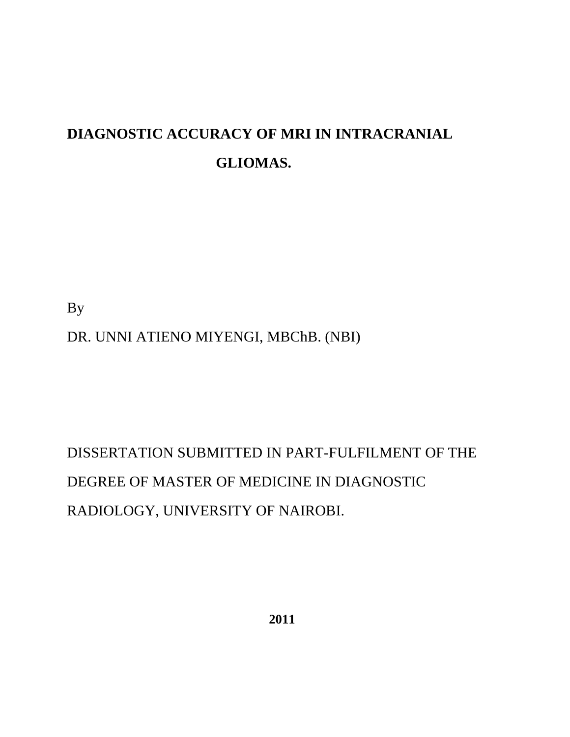## **DIAGNOSTIC ACCURACY OF MRI IN INTRACRANIAL GLIOMAS.**

By

DR. UNNI ATIENO MIYENGI, MBChB. (NBI)

# DISSERTATION SUBMITTED IN PART-FULFILMENT OF THE DEGREE OF MASTER OF MEDICINE IN DIAGNOSTIC RADIOLOGY, UNIVERSITY OF NAIROBI.

 **2011**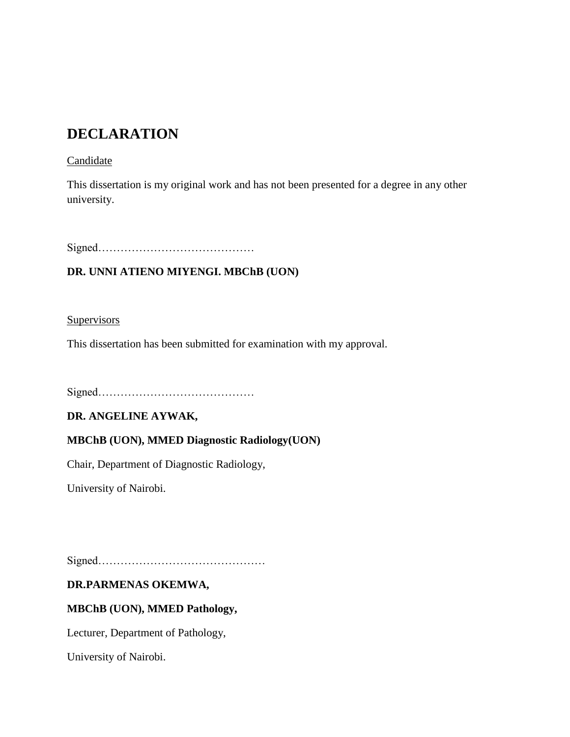### **DECLARATION**

#### Candidate

This dissertation is my original work and has not been presented for a degree in any other university.

Signed……………………………………

#### **DR. UNNI ATIENO MIYENGI. MBChB (UON)**

**Supervisors** 

This dissertation has been submitted for examination with my approval.

Signed……………………………………

#### **DR. ANGELINE AYWAK,**

#### **MBChB (UON), MMED Diagnostic Radiology(UON)**

Chair, Department of Diagnostic Radiology,

University of Nairobi.

Signed………………………………………

#### **DR.PARMENAS OKEMWA,**

#### **MBChB (UON), MMED Pathology,**

Lecturer, Department of Pathology,

University of Nairobi.